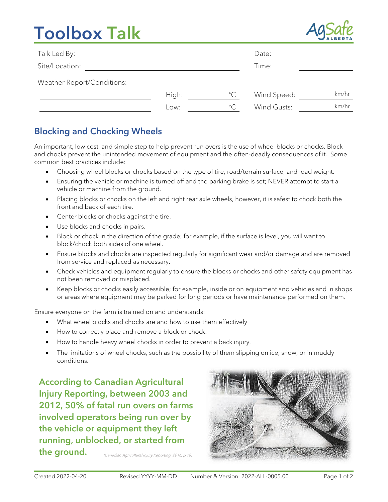# **Toolbox Talk**



| Talk Led By:               |       |              | Date:       |       |
|----------------------------|-------|--------------|-------------|-------|
| Site/Location:             |       |              | Time:       |       |
| Weather Report/Conditions: |       |              |             |       |
|                            | High: | $^{\circ}$ C | Wind Speed: | km/hr |
|                            | Low:  | $^{\circ}$ C | Wind Gusts: | km/hr |

### Blocking and Chocking Wheels

An important, low cost, and simple step to help prevent run overs is the use of wheel blocks or chocks. Block and chocks prevent the unintended movement of equipment and the often-deadly consequences of it. Some common best practices include:

- Choosing wheel blocks or chocks based on the type of tire, road/terrain surface, and load weight.
- Ensuring the vehicle or machine is turned off and the parking brake is set; NEVER attempt to start a vehicle or machine from the ground.
- Placing blocks or chocks on the left and right rear axle wheels, however, it is safest to chock both the front and back of each tire.
- Center blocks or chocks against the tire.
- Use blocks and chocks in pairs.
- Block or chock in the direction of the grade; for example, if the surface is level, you will want to block/chock both sides of one wheel.
- Ensure blocks and chocks are inspected regularly for significant wear and/or damage and are removed from service and replaced as necessary.
- Check vehicles and equipment regularly to ensure the blocks or chocks and other safety equipment has not been removed or misplaced.
- Keep blocks or chocks easily accessible; for example, inside or on equipment and vehicles and in shops or areas where equipment may be parked for long periods or have maintenance performed on them.

Ensure everyone on the farm is trained on and understands:

- What wheel blocks and chocks are and how to use them effectively
- How to correctly place and remove a block or chock.
- How to handle heavy wheel chocks in order to prevent a back injury.
- The limitations of wheel chocks, such as the possibility of them slipping on ice, snow, or in muddy conditions.

(Canadian Agricultural Injury Reporting, 2016, p.18) According to Canadian Agricultural Injury Reporting, between 2003 and 2012, 50% of fatal run overs on farms involved operators being run over by the vehicle or equipment they left running, unblocked, or started from the ground.